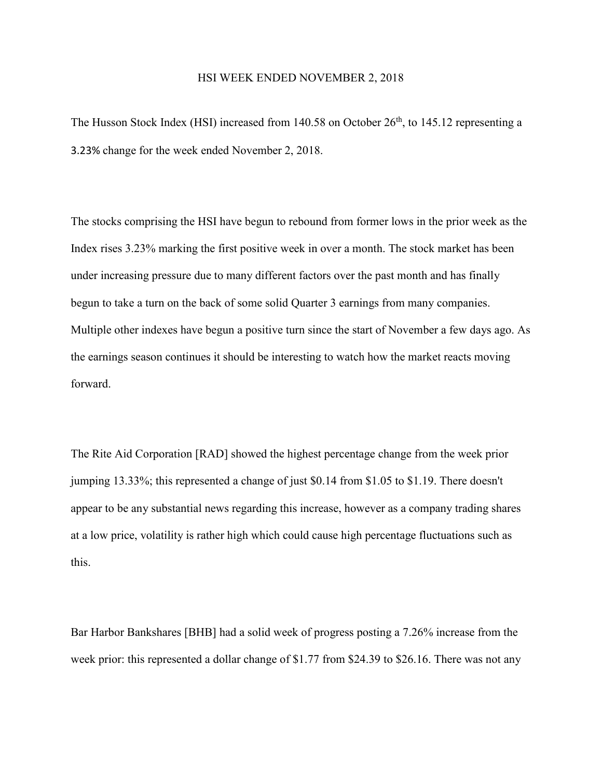## HSI WEEK ENDED NOVEMBER 2, 2018

The Husson Stock Index (HSI) increased from 140.58 on October  $26<sup>th</sup>$ , to 145.12 representing a 3.23% change for the week ended November 2, 2018.

The stocks comprising the HSI have begun to rebound from former lows in the prior week as the Index rises 3.23% marking the first positive week in over a month. The stock market has been under increasing pressure due to many different factors over the past month and has finally begun to take a turn on the back of some solid Quarter 3 earnings from many companies. Multiple other indexes have begun a positive turn since the start of November a few days ago. As the earnings season continues it should be interesting to watch how the market reacts moving forward.

The Rite Aid Corporation [RAD] showed the highest percentage change from the week prior jumping 13.33%; this represented a change of just \$0.14 from \$1.05 to \$1.19. There doesn't appear to be any substantial news regarding this increase, however as a company trading shares at a low price, volatility is rather high which could cause high percentage fluctuations such as this.

Bar Harbor Bankshares [BHB] had a solid week of progress posting a 7.26% increase from the week prior: this represented a dollar change of \$1.77 from \$24.39 to \$26.16. There was not any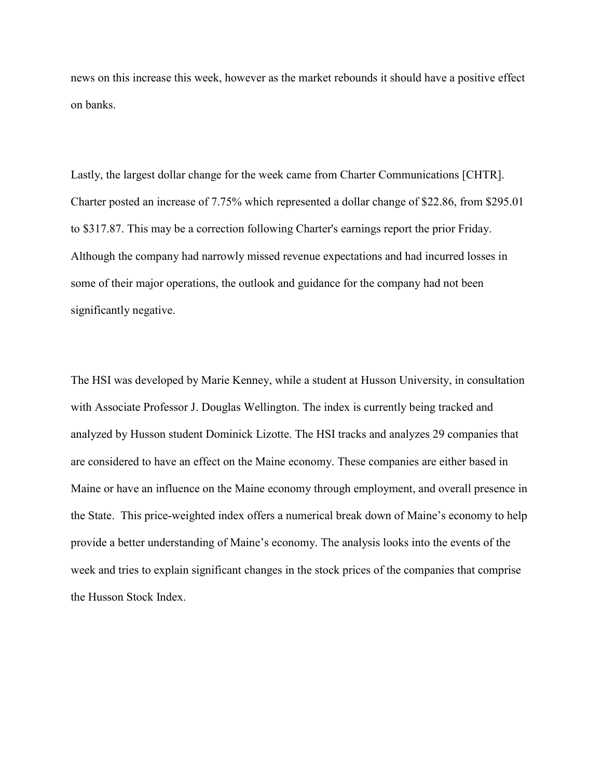news on this increase this week, however as the market rebounds it should have a positive effect on banks.

Lastly, the largest dollar change for the week came from Charter Communications [CHTR]. Charter posted an increase of 7.75% which represented a dollar change of \$22.86, from \$295.01 to \$317.87. This may be a correction following Charter's earnings report the prior Friday. Although the company had narrowly missed revenue expectations and had incurred losses in some of their major operations, the outlook and guidance for the company had not been significantly negative.

The HSI was developed by Marie Kenney, while a student at Husson University, in consultation with Associate Professor J. Douglas Wellington. The index is currently being tracked and analyzed by Husson student Dominick Lizotte. The HSI tracks and analyzes 29 companies that are considered to have an effect on the Maine economy. These companies are either based in Maine or have an influence on the Maine economy through employment, and overall presence in the State. This price-weighted index offers a numerical break down of Maine's economy to help provide a better understanding of Maine's economy. The analysis looks into the events of the week and tries to explain significant changes in the stock prices of the companies that comprise the Husson Stock Index.